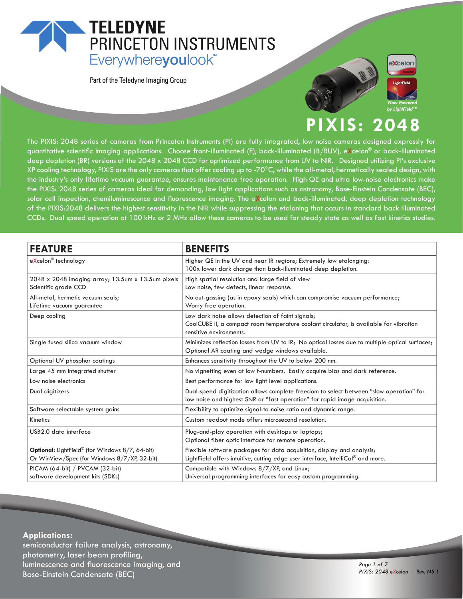## **TELEDYNE** PRINCETON INSTRUMENTS Everywhereyoulook<sup>"</sup>

Part of the Teledyne Imaging Group





## **PIXIS: 2048**

The PIXIS: 2048 series of cameras from Princeton Instruments (PI) are fully integrated, low noise cameras designed expressly for quantitative scientific imaging applications. Choose front-illuminated (F), back-illuminated (B/BUV), eXcelon® or back-illuminated deep depletion (BR) versions of the 2048 x 2048 CCD for optimized performance from UV to NIR. Designed utilizing PI's exclusive XP cooling technology, PIXIS are the only cameras that offer cooling up to -70°C, while the all-metal, hermetically sealed design, with the industry's only lifetime vacuum guarantee, ensures maintenance free operation. High QE and ultra low-noise electronics make the PIXIS: 2048 series of cameras ideal for demanding, low light applications such as astronomy, Bose-Einstein Condensate (BEC), solar cell inspection, chemiluminescence and fluorescence imaging. The eXcelon and back-illuminated, deep depletion technology of the PIXIS:2048 delivers the highest sensitivity in the NIR while suppressing the etaloning that occurs in standard back illuminated CCDs. Dual speed operation at 100 kHz or 2 MHz allow these cameras to be used for steady state as well as fast kinetics studies.

| <b>FEATURE</b>                                                                                  | <b>BENEFITS</b>                                                                                                                                                        |
|-------------------------------------------------------------------------------------------------|------------------------------------------------------------------------------------------------------------------------------------------------------------------------|
| eXcelon <sup>®</sup> technology                                                                 | Higher QE in the UV and near IR regions; Extremely low etalonging:<br>100x lower dark charge than back-illuminated deep depletion.                                     |
| $2048 \times 2048$ imaging array; 13.5 $\mu$ m x 13.5 $\mu$ m pixels<br>Scientific grade CCD    | High spatial resolution and large field of view<br>Low noise, few defects, linear response.                                                                            |
| All-metal, hermetic vacuum seals;<br>Lifetime vacuum guarantee                                  | No out-gassing (as in epoxy seals) which can compromise vacuum performance;<br>Worry free operation.                                                                   |
| Deep cooling                                                                                    | Low dark noise allows detection of faint signals;<br>CoolCUBE II, a compact room temperature coolant circulator, is available for vibration<br>sensitive environments. |
| Single fused silica vacuum window                                                               | Minimizes reflection losses from UV to IR; No optical losses due to multiple optical surfaces;<br>Optional AR coating and wedge windows available.                     |
| Optional UV phosphor coatings                                                                   | Enhances sensitivity throughout the UV to below 200 nm.                                                                                                                |
| Large 45 mm integrated shutter                                                                  | No vignetting even at low f-numbers. Easily acquire bias and dark reference.                                                                                           |
| Low noise electronics                                                                           | Best performance for low light level applications.                                                                                                                     |
| Dual digitizers                                                                                 | Dual-speed digitization allows complete freedom to select between "slow operation" for<br>low noise and highest SNR or "fast operation" for rapid image acquisition.   |
| Software selectable system gains                                                                | Flexibility to optimize signal-to-noise ratio and dynamic range.                                                                                                       |
| Kinetics                                                                                        | Custom readout mode offers microsecond resolution.                                                                                                                     |
| USB2.0 data interface                                                                           | Plug-and-play operation with desktops or laptops;<br>Optional fiber optic interface for remote operation.                                                              |
| Optional: LightField® (for Windows 8/7, 64-bit)<br>Or WinView/Spec (for Windows 8/7/XP, 32-bit) | Flexible software packages for data acquisition, display and analysis;<br>LightField offers intuitive, cutting edge user interface, IntelliCal® and more.              |
| PICAM (64-bit) / PVCAM (32-bit)<br>software development kits (SDKs)                             | Compatible with Windows 8/7/XP, and Linux;<br>Universal programming interfaces for easy custom programming.                                                            |

#### **Applications:**

semiconductor failure analysis, astronomy, photometry, laser beam profiling, luminescence and fluorescence imaging, and Bose-Einstein Condensate (BEC)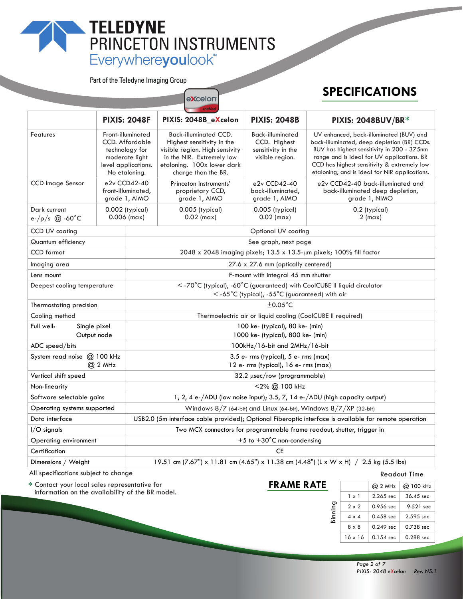# TELEDYNE<br>
PRINCETON INSTRUMENTS<br>
Everywhereyoulook"

excelon

Part of the Teledyne Imaging Group

## **SPECIFICATIONS**

|                                           |                                                                                                                         | <b>PIXIS: 2048F</b>                                                                                                          | PIXIS: 2048B_eXcelon                                                                                                                                                           | <b>PIXIS: 2048B</b>                                                              | PIXIS: 2048BUV/BR*                                                                                                                                                                                                                                                                 |  |  |
|-------------------------------------------|-------------------------------------------------------------------------------------------------------------------------|------------------------------------------------------------------------------------------------------------------------------|--------------------------------------------------------------------------------------------------------------------------------------------------------------------------------|----------------------------------------------------------------------------------|------------------------------------------------------------------------------------------------------------------------------------------------------------------------------------------------------------------------------------------------------------------------------------|--|--|
| Features                                  | Front-illuminated<br><b>CCD.</b> Affordable<br>technology for<br>moderate light<br>level applications.<br>No etaloning. |                                                                                                                              | <b>Back-illuminated CCD.</b><br>Highest sensitivity in the<br>visible region. High sensivity<br>in the NIR. Extremely low<br>etaloning. 100x lower dark<br>charge than the BR. | <b>Back-illuminated</b><br>CCD. Highest<br>sensitivity in the<br>visible region. | UV enhanced, back-illuminated (BUV) and<br>back-illuminated, deep depletion (BR) CCDs.<br>BUV has highest sensitivity in 200 - 375nm<br>range and is ideal for UV applications. BR<br>CCD has highest sensitivity & extremely low<br>etaloning, and is ideal for NIR applications. |  |  |
| <b>CCD</b> Image Sensor                   | e2v CCD42-40<br>front-illuminated,<br>grade 1, AIMO                                                                     |                                                                                                                              | Princeton Instruments'<br>proprietary CCD,<br>grade 1, AIMO                                                                                                                    | e2v CCD42-40<br>back-illuminated,<br>grade 1, AIMO                               | e2v CCD42-40 back-illuminated and<br>back-illuminated deep depletion,<br>grade 1, NIMO                                                                                                                                                                                             |  |  |
| Dark current<br>e-/p/s $@$ -60°C          |                                                                                                                         | $0.002$ (typical)<br>$0.006$ (max)                                                                                           | $0.005$ (typical)<br>$0.02$ (max)                                                                                                                                              | 0.005 (typical)<br>$0.02$ (max)                                                  | 0.2 (typical)<br>$2 \text{ (max)}$                                                                                                                                                                                                                                                 |  |  |
| CCD UV coating                            |                                                                                                                         |                                                                                                                              | Optional UV coating                                                                                                                                                            |                                                                                  |                                                                                                                                                                                                                                                                                    |  |  |
| Quantum efficiency                        |                                                                                                                         |                                                                                                                              | See graph, next page                                                                                                                                                           |                                                                                  |                                                                                                                                                                                                                                                                                    |  |  |
| <b>CCD</b> format                         |                                                                                                                         |                                                                                                                              | 2048 x 2048 imaging pixels; 13.5 x 13.5-µm pixels; 100% fill factor                                                                                                            |                                                                                  |                                                                                                                                                                                                                                                                                    |  |  |
| Imaging area                              |                                                                                                                         |                                                                                                                              | 27.6 x 27.6 mm (optically centered)                                                                                                                                            |                                                                                  |                                                                                                                                                                                                                                                                                    |  |  |
| Lens mount                                |                                                                                                                         |                                                                                                                              | F-mount with integral 45 mm shutter                                                                                                                                            |                                                                                  |                                                                                                                                                                                                                                                                                    |  |  |
| Deepest cooling temperature               |                                                                                                                         | < -70°C (typical), -60°C (guaranteed) with CoolCUBE II liquid circulator<br>$<$ -65°C (typical), -55°C (guaranteed) with air |                                                                                                                                                                                |                                                                                  |                                                                                                                                                                                                                                                                                    |  |  |
| Thermostating precision                   |                                                                                                                         |                                                                                                                              | $\pm$ 0.05 $^{\circ}$ C                                                                                                                                                        |                                                                                  |                                                                                                                                                                                                                                                                                    |  |  |
| Cooling method                            |                                                                                                                         | Thermoelectric air or liquid cooling (CoolCUBE II required)                                                                  |                                                                                                                                                                                |                                                                                  |                                                                                                                                                                                                                                                                                    |  |  |
| Full well:<br>Single pixel<br>Output node |                                                                                                                         | 100 ke- (typical), 80 ke- (min)<br>1000 ke- (typical), 800 ke- (min)                                                         |                                                                                                                                                                                |                                                                                  |                                                                                                                                                                                                                                                                                    |  |  |
| ADC speed/bits                            |                                                                                                                         | 100kHz/16-bit and 2MHz/16-bit                                                                                                |                                                                                                                                                                                |                                                                                  |                                                                                                                                                                                                                                                                                    |  |  |
| System read noise @ 100 kHz               | @ 2 MHz                                                                                                                 |                                                                                                                              | $3.5$ e- rms (typical), $5$ e- rms (max)<br>12 e- rms (typical), 16 e- rms (max)                                                                                               |                                                                                  |                                                                                                                                                                                                                                                                                    |  |  |
| Vertical shift speed                      |                                                                                                                         | 32.2 µsec/row (programmable)                                                                                                 |                                                                                                                                                                                |                                                                                  |                                                                                                                                                                                                                                                                                    |  |  |
| Non-linearity                             |                                                                                                                         |                                                                                                                              | <2% @ 100 kHz                                                                                                                                                                  |                                                                                  |                                                                                                                                                                                                                                                                                    |  |  |
| Software selectable gains                 |                                                                                                                         | 1, 2, 4 e-/ADU (low noise input); 3.5, 7, 14 e-/ADU (high capacity output)                                                   |                                                                                                                                                                                |                                                                                  |                                                                                                                                                                                                                                                                                    |  |  |
| Operating systems supported               |                                                                                                                         | Windows $8/7$ (64-bit) and Linux (64-bit), Windows $8/7/XP$ (32-bit)                                                         |                                                                                                                                                                                |                                                                                  |                                                                                                                                                                                                                                                                                    |  |  |
| Data interface                            |                                                                                                                         |                                                                                                                              | USB2.0 (5m interface cable provided); Optional Fiberoptic interface is available for remote operation                                                                          |                                                                                  |                                                                                                                                                                                                                                                                                    |  |  |
| I/O signals                               |                                                                                                                         |                                                                                                                              | Two MCX connectors for programmable frame readout, shutter, trigger in                                                                                                         |                                                                                  |                                                                                                                                                                                                                                                                                    |  |  |
| Operating environment                     |                                                                                                                         | $+5$ to $+30^{\circ}$ C non-condensing                                                                                       |                                                                                                                                                                                |                                                                                  |                                                                                                                                                                                                                                                                                    |  |  |
| Certification                             |                                                                                                                         |                                                                                                                              |                                                                                                                                                                                | CE                                                                               |                                                                                                                                                                                                                                                                                    |  |  |
| Dimensions / Weight                       |                                                                                                                         |                                                                                                                              | 19.51 cm (7.67") x 11.81 cm (4.65") x 11.38 cm (4.48") (L x W x H) / 2.5 kg (5.5 lbs)                                                                                          |                                                                                  |                                                                                                                                                                                                                                                                                    |  |  |

All specifications subject to change

**\*** Contact your local sales representative for information on the availability of the BR model.

### **FRAME RATE**

Readout Time

| Binning |                | $@$ 2 MHz   | @ 100 kHz   |  |
|---------|----------------|-------------|-------------|--|
|         | $1 \times 1$   | $2.265$ sec | $36.45$ sec |  |
|         | $2 \times 2$   | 0.956 sec   | 9.521 sec   |  |
|         | $4 \times 4$   | $0.458$ sec | $2.595$ sec |  |
|         | $8 \times 8$   | $0.249$ sec | 0.738 sec   |  |
|         | $16 \times 16$ | $0.154$ sec | $0.288$ sec |  |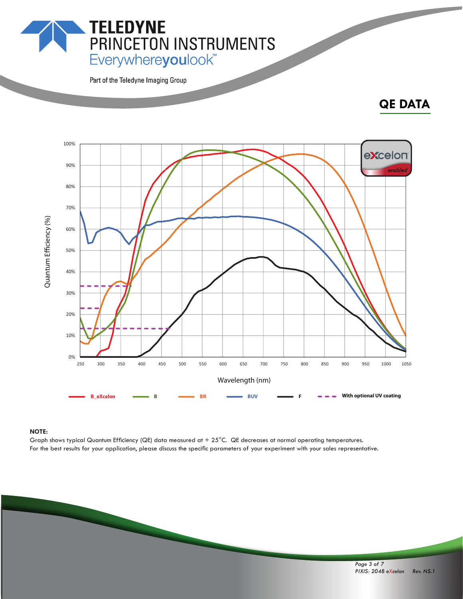**PRINCETON INSTRUMENTS**<br>Everywhereyoulook"

Part of the Teledyne Imaging Group

**TELEDYNE** 

## **QE DATA**



#### **NOTE:**

Graph shows typical Quantum Efficiency (QE) data measured at  $+25^{\circ}$ C. QE decreases at normal operating temperatures. For the best results for your application, please discuss the specific parameters of your experiment with your sales representative.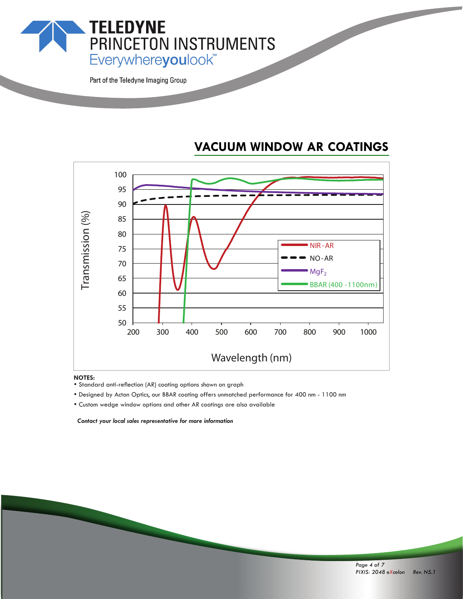

Part of the Teledyne Imaging Group

## **VACUUM WINDOW AR COATINGS**



- **NOTES:**<br>• Standard anti-reflection (AR) coating options shown on graph
- \* Designed by Acton Optics, our BBAR coating offers unmatched performance for 400 nm 1100 nm
- Custom wedge window options and other AR coatings are also available

 *Contact your local sales representative for more information*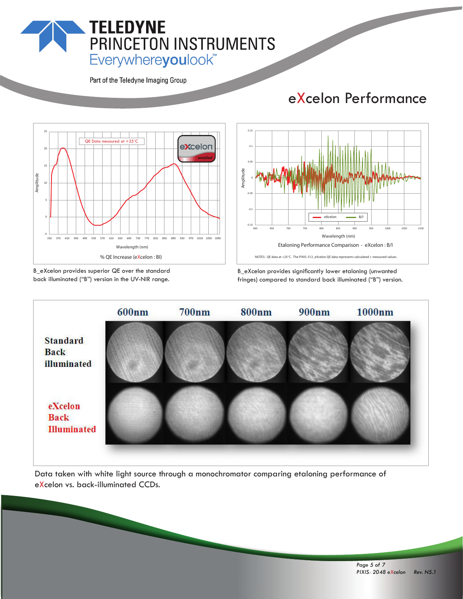## **TELEDYNE** PRINCETON INSTRUMENTS Everywhereyoulook<sup>"</sup>

Part of the Teledyne Imaging Group

## eXcelon Performance



B\_eXcelon provides superior QE over the standard back illuminated ("B") version in the UV-NIR range.



B\_eXcelon provides significantly lower etaloning (unwanted fringes) compared to standard back illuminated ("B") version.



Data taken with white light source through a monochromator comparing etaloning performance of eXcelon vs. back-illuminated CCDs.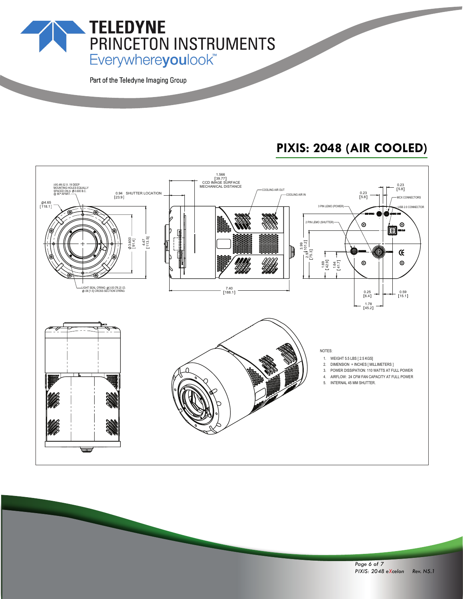Everywhereyoulook<sup>\*\*</sup>

PRINCETON INSTRUMENTS

Part of the Teledyne Imaging Group

**TELEDYNE** 

## **PIXIS: 2048 (AIR COOLED)**



*Page 6 of 7 PIXIS: 2048 eXcelon Rev. N5.1*